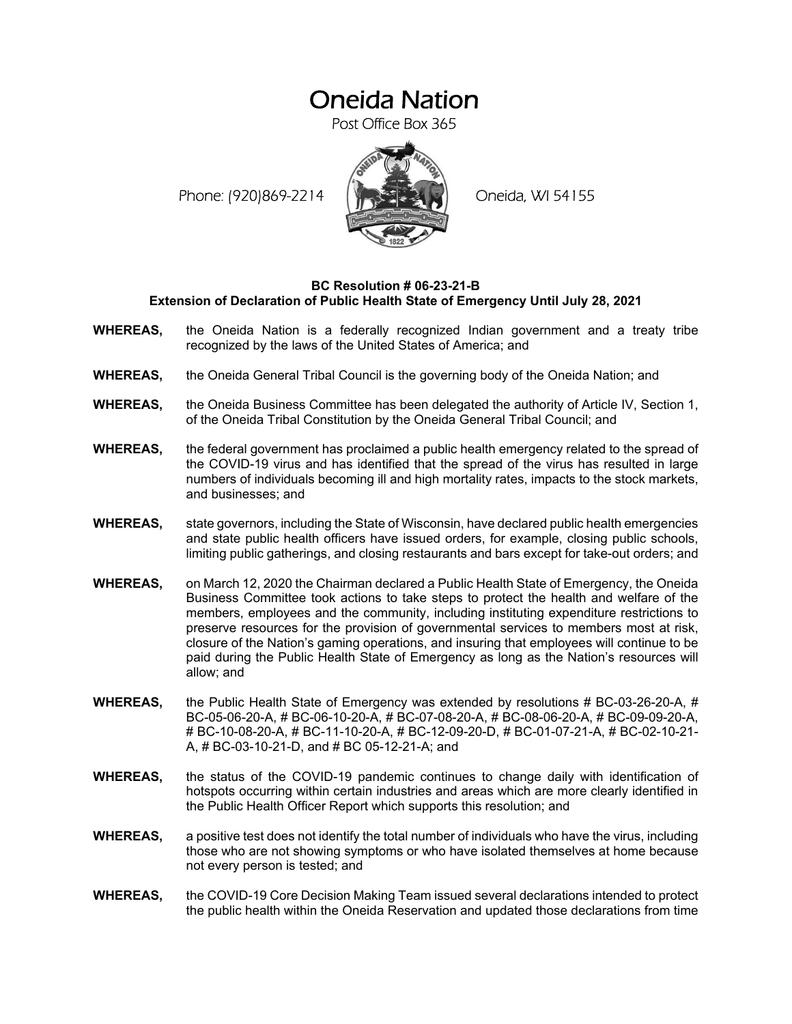## Oneida Nation

Post Office Box 365

Phone: (920)869-2214 (XXXXXXX) Oneida, WI 54155



## **BC Resolution # 06-23-21-B Extension of Declaration of Public Health State of Emergency Until July 28, 2021**

- **WHEREAS,** the Oneida Nation is a federally recognized Indian government and a treaty tribe recognized by the laws of the United States of America; and
- **WHEREAS,** the Oneida General Tribal Council is the governing body of the Oneida Nation; and
- **WHEREAS,** the Oneida Business Committee has been delegated the authority of Article IV, Section 1, of the Oneida Tribal Constitution by the Oneida General Tribal Council; and
- **WHEREAS,** the federal government has proclaimed a public health emergency related to the spread of the COVID-19 virus and has identified that the spread of the virus has resulted in large numbers of individuals becoming ill and high mortality rates, impacts to the stock markets, and businesses; and
- **WHEREAS,** state governors, including the State of Wisconsin, have declared public health emergencies and state public health officers have issued orders, for example, closing public schools, limiting public gatherings, and closing restaurants and bars except for take-out orders; and
- **WHEREAS,** on March 12, 2020 the Chairman declared a Public Health State of Emergency, the Oneida Business Committee took actions to take steps to protect the health and welfare of the members, employees and the community, including instituting expenditure restrictions to preserve resources for the provision of governmental services to members most at risk, closure of the Nation's gaming operations, and insuring that employees will continue to be paid during the Public Health State of Emergency as long as the Nation's resources will allow; and
- **WHEREAS,** the Public Health State of Emergency was extended by resolutions # BC-03-26-20-A, # BC-05-06-20-A, # BC-06-10-20-A, # BC-07-08-20-A, # BC-08-06-20-A, # BC-09-09-20-A, # BC-10-08-20-A, # BC-11-10-20-A, # BC-12-09-20-D, # BC-01-07-21-A, # BC-02-10-21- A, # BC-03-10-21-D, and # BC 05-12-21-A; and
- **WHEREAS,** the status of the COVID-19 pandemic continues to change daily with identification of hotspots occurring within certain industries and areas which are more clearly identified in the Public Health Officer Report which supports this resolution; and
- **WHEREAS,** a positive test does not identify the total number of individuals who have the virus, including those who are not showing symptoms or who have isolated themselves at home because not every person is tested; and
- **WHEREAS,** the COVID-19 Core Decision Making Team issued several declarations intended to protect the public health within the Oneida Reservation and updated those declarations from time